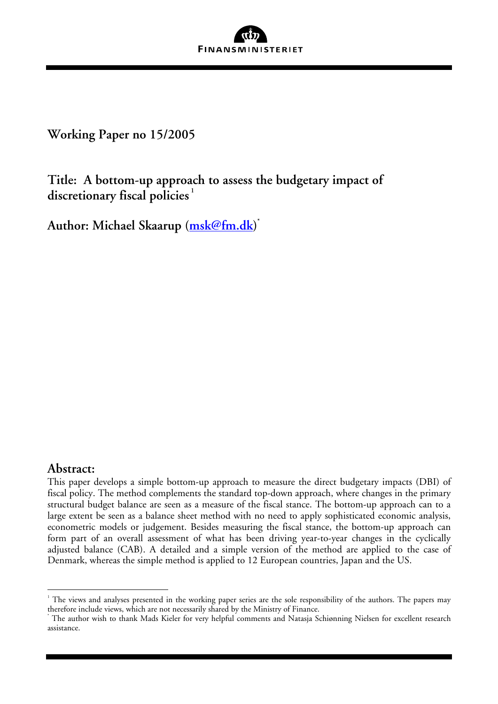

**Working Paper no 15/2005** 

**Title: A bottom-up approach to assess the budgetary impact of discretionary fiscal policies [1](#page-0-0)**

**Author: Michael Skaarup [\(msk@fm.dk](mailto:msk@fm.dk)) \*** 

# **Abstract:**

 $\overline{a}$ 

This paper develops a simple bottom-up approach to measure the direct budgetary impacts (DBI) of fiscal policy. The method complements the standard top-down approach, where changes in the primary structural budget balance are seen as a measure of the fiscal stance. The bottom-up approach can to a large extent be seen as a balance sheet method with no need to apply sophisticated economic analysis, econometric models or judgement. Besides measuring the fiscal stance, the bottom-up approach can form part of an overall assessment of what has been driving year-to-year changes in the cyclically adjusted balance (CAB). A detailed and a simple version of the method are applied to the case of Denmark, whereas the simple method is applied to 12 European countries, Japan and the US.

<span id="page-0-0"></span> $^{\rm ^1}$  The views and analyses presented in the working paper series are the sole responsibility of the authors. The papers may therefore include views, which are not necessarily shared by the Ministry of Finance. \*

The author wish to thank Mads Kieler for very helpful comments and Natasja Schiønning Nielsen for excellent research assistance.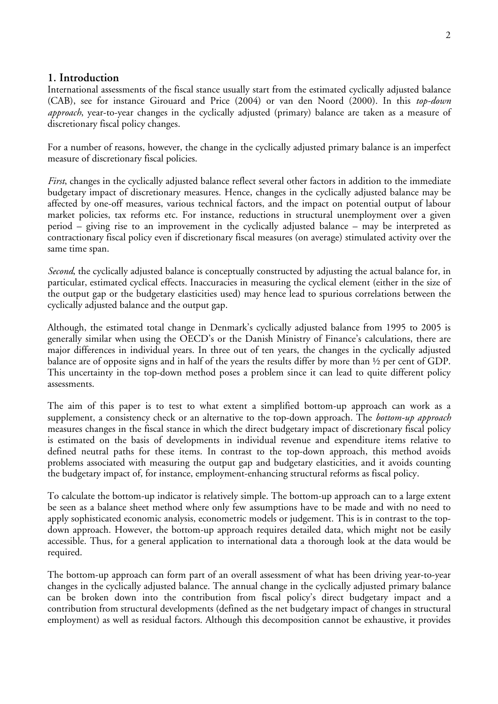### **1. Introduction**

International assessments of the fiscal stance usually start from the estimated cyclically adjusted balance (CAB), see for instance Girouard and Price (2004) or van den Noord (2000). In this *top-down approach*, year-to-year changes in the cyclically adjusted (primary) balance are taken as a measure of discretionary fiscal policy changes.

For a number of reasons, however, the change in the cyclically adjusted primary balance is an imperfect measure of discretionary fiscal policies.

*First*, changes in the cyclically adjusted balance reflect several other factors in addition to the immediate budgetary impact of discretionary measures. Hence, changes in the cyclically adjusted balance may be affected by one-off measures, various technical factors, and the impact on potential output of labour market policies, tax reforms etc. For instance, reductions in structural unemployment over a given period – giving rise to an improvement in the cyclically adjusted balance – may be interpreted as contractionary fiscal policy even if discretionary fiscal measures (on average) stimulated activity over the same time span.

*Second*, the cyclically adjusted balance is conceptually constructed by adjusting the actual balance for, in particular, estimated cyclical effects. Inaccuracies in measuring the cyclical element (either in the size of the output gap or the budgetary elasticities used) may hence lead to spurious correlations between the cyclically adjusted balance and the output gap.

Although, the estimated total change in Denmark's cyclically adjusted balance from 1995 to 2005 is generally similar when using the OECD's or the Danish Ministry of Finance's calculations, there are major differences in individual years. In three out of ten years, the changes in the cyclically adjusted balance are of opposite signs and in half of the years the results differ by more than ½ per cent of GDP. This uncertainty in the top-down method poses a problem since it can lead to quite different policy assessments.

The aim of this paper is to test to what extent a simplified bottom-up approach can work as a supplement, a consistency check or an alternative to the top-down approach. The *bottom-up approach*  measures changes in the fiscal stance in which the direct budgetary impact of discretionary fiscal policy is estimated on the basis of developments in individual revenue and expenditure items relative to defined neutral paths for these items. In contrast to the top-down approach, this method avoids problems associated with measuring the output gap and budgetary elasticities, and it avoids counting the budgetary impact of, for instance, employment-enhancing structural reforms as fiscal policy.

To calculate the bottom-up indicator is relatively simple. The bottom-up approach can to a large extent be seen as a balance sheet method where only few assumptions have to be made and with no need to apply sophisticated economic analysis, econometric models or judgement. This is in contrast to the topdown approach. However, the bottom-up approach requires detailed data, which might not be easily accessible. Thus, for a general application to international data a thorough look at the data would be required.

The bottom-up approach can form part of an overall assessment of what has been driving year-to-year changes in the cyclically adjusted balance. The annual change in the cyclically adjusted primary balance can be broken down into the contribution from fiscal policy's direct budgetary impact and a contribution from structural developments (defined as the net budgetary impact of changes in structural employment) as well as residual factors. Although this decomposition cannot be exhaustive, it provides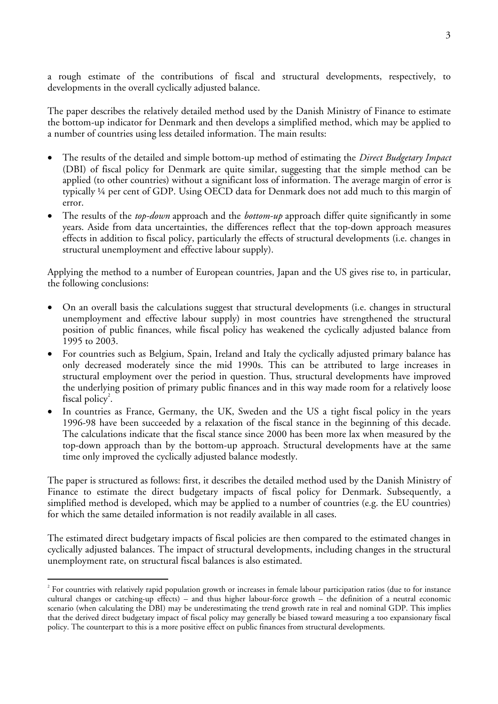a rough estimate of the contributions of fiscal and structural developments, respectively, to developments in the overall cyclically adjusted balance.

The paper describes the relatively detailed method used by the Danish Ministry of Finance to estimate the bottom-up indicator for Denmark and then develops a simplified method, which may be applied to a number of countries using less detailed information. The main results:

- The results of the detailed and simple bottom-up method of estimating the *Direct Budgetary Impact* (DBI) of fiscal policy for Denmark are quite similar, suggesting that the simple method can be applied (to other countries) without a significant loss of information. The average margin of error is typically ¼ per cent of GDP. Using OECD data for Denmark does not add much to this margin of error.
- The results of the *top-down* approach and the *bottom-up* approach differ quite significantly in some years. Aside from data uncertainties, the differences reflect that the top-down approach measures effects in addition to fiscal policy, particularly the effects of structural developments (i.e. changes in structural unemployment and effective labour supply).

Applying the method to a number of European countries, Japan and the US gives rise to, in particular, the following conclusions:

- On an overall basis the calculations suggest that structural developments (i.e. changes in structural unemployment and effective labour supply) in most countries have strengthened the structural position of public finances, while fiscal policy has weakened the cyclically adjusted balance from 1995 to 2003.
- For countries such as Belgium, Spain, Ireland and Italy the cyclically adjusted primary balance has only decreased moderately since the mid 1990s. This can be attributed to large increases in structural employment over the period in question. Thus, structural developments have improved the underlying position of primary public finances and in this way made room for a relatively loose fiscal policy<sup>2</sup>[.](#page-2-0)
- In countries as France, Germany, the UK, Sweden and the US a tight fiscal policy in the years 1996-98 have been succeeded by a relaxation of the fiscal stance in the beginning of this decade. The calculations indicate that the fiscal stance since 2000 has been more lax when measured by the top-down approach than by the bottom-up approach. Structural developments have at the same time only improved the cyclically adjusted balance modestly.

The paper is structured as follows: first, it describes the detailed method used by the Danish Ministry of Finance to estimate the direct budgetary impacts of fiscal policy for Denmark. Subsequently, a simplified method is developed, which may be applied to a number of countries (e.g. the EU countries) for which the same detailed information is not readily available in all cases.

The estimated direct budgetary impacts of fiscal policies are then compared to the estimated changes in cyclically adjusted balances. The impact of structural developments, including changes in the structural unemployment rate, on structural fiscal balances is also estimated.

1

<span id="page-2-0"></span> $^2$  For countries with relatively rapid population growth or increases in female labour participation ratios (due to for instance cultural changes or catching-up effects) – and thus higher labour-force growth – the definition of a neutral economic scenario (when calculating the DBI) may be underestimating the trend growth rate in real and nominal GDP. This implies that the derived direct budgetary impact of fiscal policy may generally be biased toward measuring a too expansionary fiscal policy. The counterpart to this is a more positive effect on public finances from structural developments.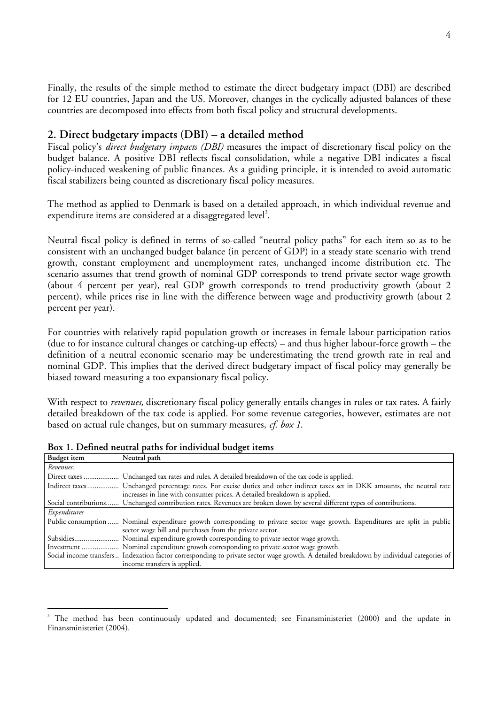Finally, the results of the simple method to estimate the direct budgetary impact (DBI) are described for 12 EU countries, Japan and the US. Moreover, changes in the cyclically adjusted balances of these countries are decomposed into effects from both fiscal policy and structural developments.

### **2. Direct budgetary impacts (DBI) – a detailed method**

Fiscal policy's *direct budgetary impacts (DBI)* measures the impact of discretionary fiscal policy on the budget balance. A positive DBI reflects fiscal consolidation, while a negative DBI indicates a fiscal policy-induced weakening of public finances. As a guiding principle, it is intended to avoid automatic fiscal stabilizers being counted as discretionary fiscal policy measures.

The method as applied to Denmark is based on a detailed approach, in which individual revenue and expenditure items are considered at a disaggregated level<sup>3</sup>[.](#page-3-0)

Neutral fiscal policy is defined in terms of so-called "neutral policy paths" for each item so as to be consistent with an unchanged budget balance (in percent of GDP) in a steady state scenario with trend growth, constant employment and unemployment rates, unchanged income distribution etc. The scenario assumes that trend growth of nominal GDP corresponds to trend private sector wage growth (about 4 percent per year), real GDP growth corresponds to trend productivity growth (about 2 percent), while prices rise in line with the difference between wage and productivity growth (about 2 percent per year).

For countries with relatively rapid population growth or increases in female labour participation ratios (due to for instance cultural changes or catching-up effects) – and thus higher labour-force growth – the definition of a neutral economic scenario may be underestimating the trend growth rate in real and nominal GDP. This implies that the derived direct budgetary impact of fiscal policy may generally be biased toward measuring a too expansionary fiscal policy.

With respect to *revenues,* discretionary fiscal policy generally entails changes in rules or tax rates. A fairly detailed breakdown of the tax code is applied. For some revenue categories, however, estimates are not based on actual rule changes, but on summary measures, *cf. box 1*.

| Budget item  | Neutral path                                                                                                                                                                                           |
|--------------|--------------------------------------------------------------------------------------------------------------------------------------------------------------------------------------------------------|
| Revenues:    |                                                                                                                                                                                                        |
|              | Direct taxes  Unchanged tax rates and rules. A detailed breakdown of the tax code is applied.                                                                                                          |
|              | Indirect taxes Unchanged percentage rates. For excise duties and other indirect taxes set in DKK amounts, the neutral rate<br>increases in line with consumer prices. A detailed breakdown is applied. |
|              | Social contributions Unchanged contribution rates. Revenues are broken down by several different types of contributions.                                                                               |
| Expenditures |                                                                                                                                                                                                        |
|              | Public consumption  Nominal expenditure growth corresponding to private sector wage growth. Expenditures are split in public<br>sector wage bill and purchases from the private sector.                |
|              | Subsidies Nominal expenditure growth corresponding to private sector wage growth.                                                                                                                      |
|              | Investment  Nominal expenditure growth corresponding to private sector wage growth.                                                                                                                    |
|              | Social income transfers Indexation factor corresponding to private sector wage growth. A detailed breakdown by individual categories of                                                                |
|              | income transfers is applied.                                                                                                                                                                           |

**Box 1. Defined neutral paths for individual budget items**

 $\overline{a}$ 

<span id="page-3-0"></span><sup>3</sup> The method has been continuously updated and documented; see Finansministeriet (2000) and the update in Finansministeriet (2004).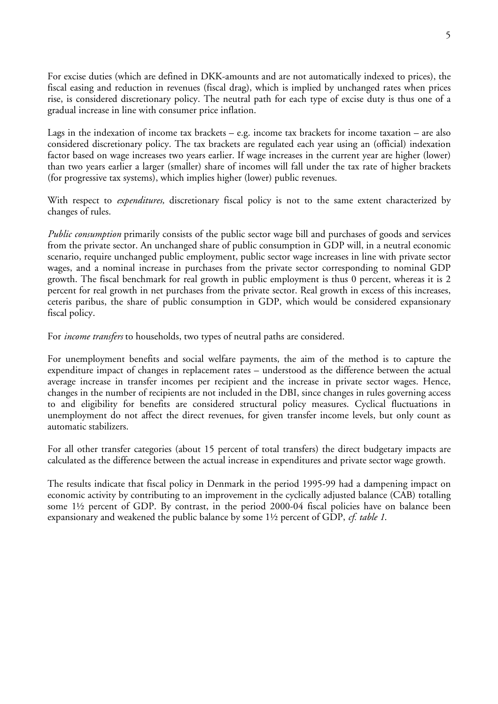For excise duties (which are defined in DKK-amounts and are not automatically indexed to prices), the fiscal easing and reduction in revenues (fiscal drag), which is implied by unchanged rates when prices rise, is considered discretionary policy. The neutral path for each type of excise duty is thus one of a gradual increase in line with consumer price inflation.

Lags in the indexation of income tax brackets – e.g. income tax brackets for income taxation – are also considered discretionary policy. The tax brackets are regulated each year using an (official) indexation factor based on wage increases two years earlier. If wage increases in the current year are higher (lower) than two years earlier a larger (smaller) share of incomes will fall under the tax rate of higher brackets (for progressive tax systems), which implies higher (lower) public revenues.

With respect to *expenditures,* discretionary fiscal policy is not to the same extent characterized by changes of rules.

*Public consumption* primarily consists of the public sector wage bill and purchases of goods and services from the private sector. An unchanged share of public consumption in GDP will, in a neutral economic scenario, require unchanged public employment, public sector wage increases in line with private sector wages, and a nominal increase in purchases from the private sector corresponding to nominal GDP growth. The fiscal benchmark for real growth in public employment is thus 0 percent, whereas it is 2 percent for real growth in net purchases from the private sector. Real growth in excess of this increases, ceteris paribus, the share of public consumption in GDP, which would be considered expansionary fiscal policy.

For *income transfers* to households, two types of neutral paths are considered.

For unemployment benefits and social welfare payments, the aim of the method is to capture the expenditure impact of changes in replacement rates – understood as the difference between the actual average increase in transfer incomes per recipient and the increase in private sector wages. Hence, changes in the number of recipients are not included in the DBI, since changes in rules governing access to and eligibility for benefits are considered structural policy measures. Cyclical fluctuations in unemployment do not affect the direct revenues, for given transfer income levels, but only count as automatic stabilizers.

For all other transfer categories (about 15 percent of total transfers) the direct budgetary impacts are calculated as the difference between the actual increase in expenditures and private sector wage growth.

The results indicate that fiscal policy in Denmark in the period 1995-99 had a dampening impact on economic activity by contributing to an improvement in the cyclically adjusted balance (CAB) totalling some 1½ percent of GDP. By contrast, in the period 2000-04 fiscal policies have on balance been expansionary and weakened the public balance by some 1½ percent of GDP, *cf. table 1*.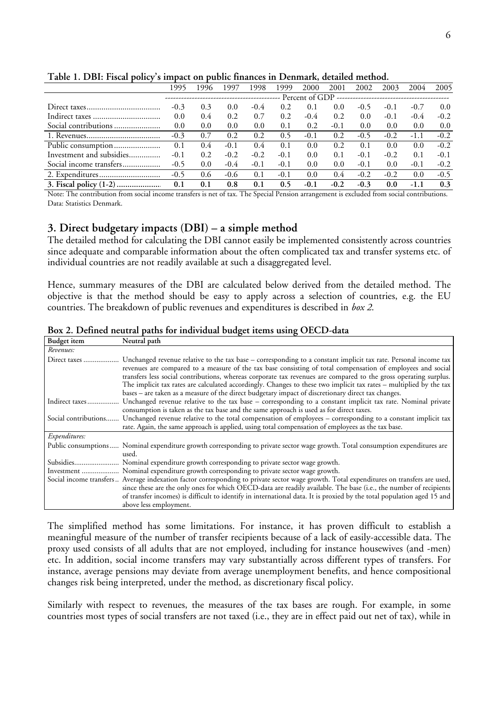|                          | 1995   | 1996 | 1997   | 1998          | 1999   | 2000   | 2001   | 2002   | 2003   | 2004   | 2005   |
|--------------------------|--------|------|--------|---------------|--------|--------|--------|--------|--------|--------|--------|
|                          |        |      |        |               |        |        |        |        |        |        |        |
|                          | $-0.3$ | 0.3  | 0.0    | $-0.4$        | 0.2    | 0.1    | 0.0    | $-0.5$ | $-0.1$ | $-0.7$ | 0.0    |
|                          | 0.0    | 0.4  | 0.2    | 0.7           | 0.2    | $-0.4$ | 0.2    | 0.0    | $-0.1$ | $-0.4$ | $-0.2$ |
| Social contributions     | 0.0    | 0.0  | 0.0    | 0.0           | 0.1    | 0.2    | $-0.1$ | 0.0    | 0.0    | 0.0    | 0.0    |
|                          | $-0.3$ | 0.7  | 0.2    | 0.2           | 0.5    | $-0.1$ | 0.2    | $-0.5$ | $-0.2$ | $-1.1$ | $-0.2$ |
|                          | 0.1    | 0.4  | $-0.1$ | $0.4^{\circ}$ | 0.1    | 0.0    | 0.2    | 0.1    | 0.0    | 0.0    | $-0.2$ |
| Investment and subsidies | $-0.1$ | 0.2  | $-0.2$ | $-0.2$        | $-0.1$ | 0.0    | 0.1    | $-0.1$ | $-0.2$ | 0.1    | $-0.1$ |
| Social income transfers  | $-0.5$ | 0.0  | $-0.4$ | $-0.1$        | $-0.1$ | 0.0    | 0.0    | $-0.1$ | 0.0    | $-0.1$ | $-0.2$ |
|                          | $-0.5$ | 0.6  | $-0.6$ | 0.1           | $-0.1$ | 0.0    | 0.4    | $-0.2$ | $-0.2$ | 0.0    | $-0.5$ |
|                          | 0.1    | 0.1  | 0.8    | 0.1           | 0.5    | $-0.1$ | $-0.2$ | $-0.3$ | 0.0    | $-1.1$ | 0.3    |

**Table 1. DBI: Fiscal policy's impact on public finances in Denmark, detailed method.** 

Note: The contribution from social income transfers is net of tax. The Special Pension arrangement is excluded from social contributions. Data: Statistics Denmark.

### **3. Direct budgetary impacts (DBI) – a simple method**

The detailed method for calculating the DBI cannot easily be implemented consistently across countries since adequate and comparable information about the often complicated tax and transfer systems etc. of individual countries are not readily available at such a disaggregated level.

Hence, summary measures of the DBI are calculated below derived from the detailed method. The objective is that the method should be easy to apply across a selection of countries, e.g. the EU countries. The breakdown of public revenues and expenditures is described in *box 2*.

| <b>Budget</b> item | Neutral path                                                                                                                                                                                                                                                                                                                                                                                                                                                                                                                                                                   |
|--------------------|--------------------------------------------------------------------------------------------------------------------------------------------------------------------------------------------------------------------------------------------------------------------------------------------------------------------------------------------------------------------------------------------------------------------------------------------------------------------------------------------------------------------------------------------------------------------------------|
| Revenues:          |                                                                                                                                                                                                                                                                                                                                                                                                                                                                                                                                                                                |
| Direct taxes       | Unchanged revenue relative to the tax base – corresponding to a constant implicit tax rate. Personal income tax<br>revenues are compared to a measure of the tax base consisting of total compensation of employees and social<br>transfers less social contributions, whereas corporate tax revenues are compared to the gross operating surplus.<br>The implicit tax rates are calculated accordingly. Changes to these two implicit tax rates – multiplied by the tax<br>bases – are taken as a measure of the direct budgetary impact of discretionary direct tax changes. |
| Indirect taxes     | Unchanged revenue relative to the tax base – corresponding to a constant implicit tax rate. Nominal private<br>consumption is taken as the tax base and the same approach is used as for direct taxes.                                                                                                                                                                                                                                                                                                                                                                         |
|                    | Social contributions Unchanged revenue relative to the total compensation of employees – corresponding to a constant implicit tax                                                                                                                                                                                                                                                                                                                                                                                                                                              |
|                    | rate. Again, the same approach is applied, using total compensation of employees as the tax base.                                                                                                                                                                                                                                                                                                                                                                                                                                                                              |
| Expenditures:      |                                                                                                                                                                                                                                                                                                                                                                                                                                                                                                                                                                                |
|                    | Public consumptions Nominal expenditure growth corresponding to private sector wage growth. Total consumption expenditures are<br>used.                                                                                                                                                                                                                                                                                                                                                                                                                                        |
|                    |                                                                                                                                                                                                                                                                                                                                                                                                                                                                                                                                                                                |
|                    | Investment  Nominal expenditure growth corresponding to private sector wage growth.                                                                                                                                                                                                                                                                                                                                                                                                                                                                                            |
|                    | Social income transfers  Average indexation factor corresponding to private sector wage growth. Total expenditures on transfers are used,<br>since these are the only ones for which OECD-data are readily available. The base (i.e., the number of recipients<br>of transfer incomes) is difficult to identify in international data. It is proxied by the total population aged 15 and<br>above less employment.                                                                                                                                                             |

**Box 2. Defined neutral paths for individual budget items using OECD-data**

The simplified method has some limitations. For instance, it has proven difficult to establish a meaningful measure of the number of transfer recipients because of a lack of easily-accessible data. The proxy used consists of all adults that are not employed, including for instance housewives (and -men) etc. In addition, social income transfers may vary substantially across different types of transfers. For instance, average pensions may deviate from average unemployment benefits, and hence compositional changes risk being interpreted, under the method, as discretionary fiscal policy.

Similarly with respect to revenues, the measures of the tax bases are rough. For example, in some countries most types of social transfers are not taxed (i.e., they are in effect paid out net of tax), while in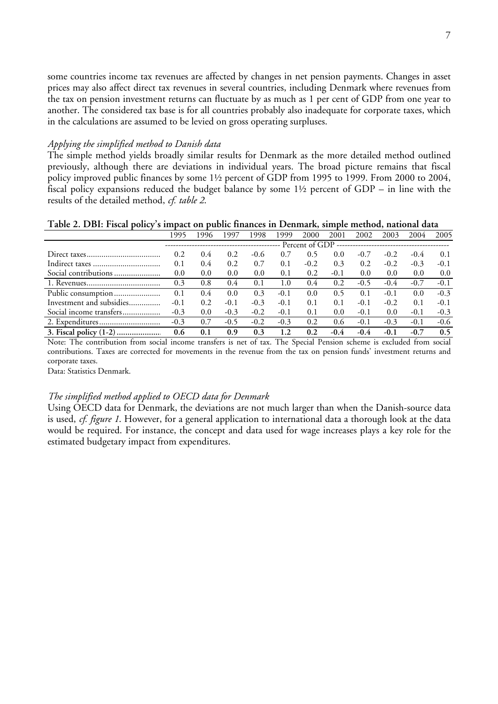some countries income tax revenues are affected by changes in net pension payments. Changes in asset prices may also affect direct tax revenues in several countries, including Denmark where revenues from the tax on pension investment returns can fluctuate by as much as 1 per cent of GDP from one year to another. The considered tax base is for all countries probably also inadequate for corporate taxes, which in the calculations are assumed to be levied on gross operating surpluses.

#### *Applying the simplified method to Danish data*

The simple method yields broadly similar results for Denmark as the more detailed method outlined previously, although there are deviations in individual years. The broad picture remains that fiscal policy improved public finances by some 1½ percent of GDP from 1995 to 1999. From 2000 to 2004, fiscal policy expansions reduced the budget balance by some 1½ percent of GDP – in line with the results of the detailed method, *cf. table 2*.

**Table 2. DBI: Fiscal policy's impact on public finances in Denmark, simple method, national data**

|                          | 1995   | 1996          | 1997          | 1998   | 1999   | 2000   | 2001   | 2002   | 2003   | 2004    | 2005   |
|--------------------------|--------|---------------|---------------|--------|--------|--------|--------|--------|--------|---------|--------|
|                          |        |               |               |        |        |        |        |        |        |         |        |
|                          | 0.2    | $0.4^{\circ}$ | 0.2           | $-0.6$ | 0.7    | 0.5    | 0.0    | $-0.7$ | $-0.2$ | $-0.4$  | 0.1    |
|                          | 0.1    | 0.4           | 0.2           | 0.7    | 0.1    | $-0.2$ | 0.3    | 0.2    | $-0.2$ | $-0.3$  | $-0.1$ |
| Social contributions     | 0.0    | 0.0           | 0.0           | 0.0    | 0.1    | 0.2    | $-0.1$ | 0.0    | 0.0    | 0.0     | 0.0    |
|                          | 0.3    | 0.8           | $0.4^{\circ}$ | 0.1    | 1.0    | 0.4    | 0.2    | $-0.5$ | $-0.4$ | $-0.7$  | $-0.1$ |
|                          | 0.1    | 0.4           | 0.0           | 0.3    | $-0.1$ | 0.0    | 0.5    | 0.1    | $-0.1$ | $0.0\,$ | $-0.3$ |
| Investment and subsidies | $-0.1$ | 0.2           | $-0.1$        | $-0.3$ | $-0.1$ | 0.1    | 0.1    | $-0.1$ | $-0.2$ | 0.1     | $-0.1$ |
| Social income transfers  | $-0.3$ | 0.0           | $-0.3$        | $-0.2$ | $-0.1$ | 0.1    | 0.0    | $-0.1$ | 0.0    | $-0.1$  | $-0.3$ |
|                          | $-0.3$ | 0.7           | $-0.5$        | $-0.2$ | $-0.3$ | 0.2    | 0.6    | $-0.1$ | $-0.3$ | $-0.1$  | $-0.6$ |
|                          | 0.6    | 0.1           | 0.9           | 0.3    | 1.2    | 0.2    | $-0.4$ | $-0.4$ | $-0.1$ | $-0.7$  | 0.5    |

Note: The contribution from social income transfers is net of tax. The Special Pension scheme is excluded from social contributions. Taxes are corrected for movements in the revenue from the tax on pension funds' investment returns and corporate taxes.

Data: Statistics Denmark.

#### *The simplified method applied to OECD data for Denmark*

Using OECD data for Denmark, the deviations are not much larger than when the Danish-source data is used, *cf. figure 1*. However, for a general application to international data a thorough look at the data would be required. For instance, the concept and data used for wage increases plays a key role for the estimated budgetary impact from expenditures.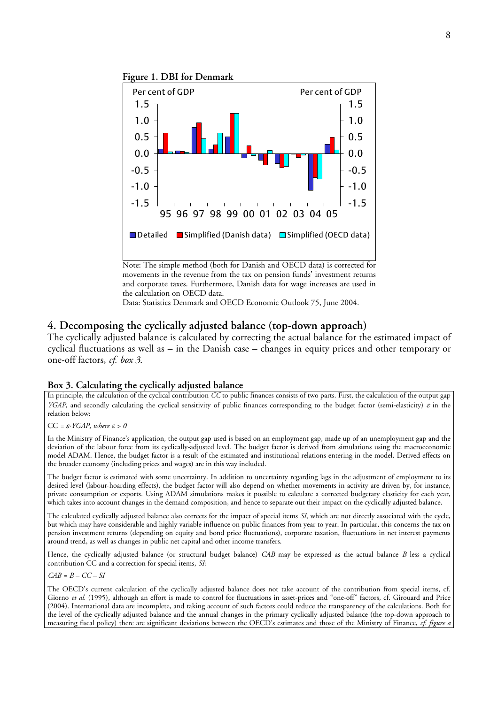

Note: The simple method (both for Danish and OECD data) is corrected for movements in the revenue from the tax on pension funds' investment returns and corporate taxes. Furthermore, Danish data for wage increases are used in the calculation on OECD data.

Data: Statistics Denmark and OECD Economic Outlook 75, June 2004.

### **4. Decomposing the cyclically adjusted balance (top-down approach)**

The cyclically adjusted balance is calculated by correcting the actual balance for the estimated impact of cyclical fluctuations as well as – in the Danish case – changes in equity prices and other temporary or one-off factors, *cf. box 3*.

#### **Box 3. Calculating the cyclically adjusted balance**

In principle, the calculation of the cyclical contribution *CC* to public finances consists of two parts. First, the calculation of the output gap *YGAP*, and secondly calculating the cyclical sensitivity of public finances corresponding to the budget factor (semi-elasticity)  $\varepsilon$  in the relation below:

CC *=* ε⋅*YGAP, where* ε *> 0*

In the Ministry of Finance's application, the output gap used is based on an employment gap, made up of an unemployment gap and the deviation of the labour force from its cyclically-adjusted level. The budget factor is derived from simulations using the macroeconomic model ADAM. Hence, the budget factor is a result of the estimated and institutional relations entering in the model. Derived effects on the broader economy (including prices and wages) are in this way included.

The budget factor is estimated with some uncertainty. In addition to uncertainty regarding lags in the adjustment of employment to its desired level (labour-hoarding effects), the budget factor will also depend on whether movements in activity are driven by, for instance, private consumption or exports. Using ADAM simulations makes it possible to calculate a corrected budgetary elasticity for each year, which takes into account changes in the demand composition, and hence to separate out their impact on the cyclically adjusted balance.

The calculated cyclically adjusted balance also corrects for the impact of special items *SI*, which are not directly associated with the cycle, but which may have considerable and highly variable influence on public finances from year to year. In particular, this concerns the tax on pension investment returns (depending on equity and bond price fluctuations), corporate taxation, fluctuations in net interest payments around trend, as well as changes in public net capital and other income transfers.

Hence, the cyclically adjusted balance (or structural budget balance) *CAB* may be expressed as the actual balance *B* less a cyclical contribution CC and a correction for special items, *SI*:

*CAB = B – CC – SI* 

The OECD's current calculation of the cyclically adjusted balance does not take account of the contribution from special items, cf. Giorno et al. (1995), although an effort is made to control for fluctuations in asset-prices and "one-off" factors, cf. Girouard and Price (2004). International data are incomplete, and taking account of such factors could reduce the transparency of the calculations. Both for the level of the cyclically adjusted balance and the annual changes in the primary cyclically adjusted balance (the top-down approach to measuring fiscal policy) there are significant deviations between the OECD's estimates and those of the Ministry of Finance, *cf. figure a*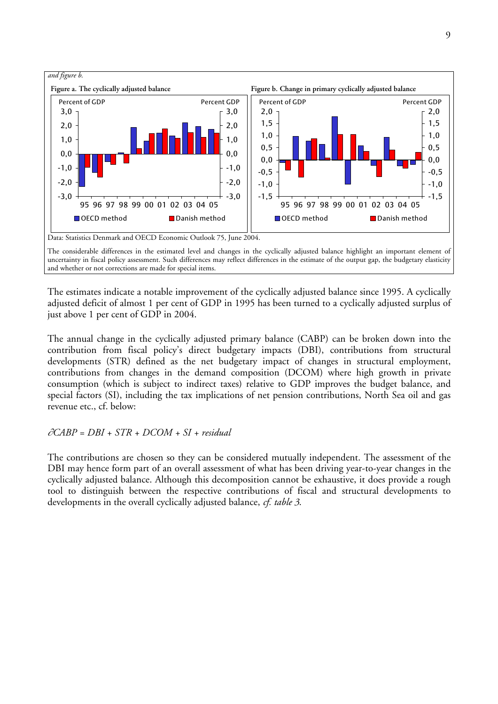

The estimates indicate a notable improvement of the cyclically adjusted balance since 1995. A cyclically adjusted deficit of almost 1 per cent of GDP in 1995 has been turned to a cyclically adjusted surplus of just above 1 per cent of GDP in 2004.

The annual change in the cyclically adjusted primary balance (CABP) can be broken down into the contribution from fiscal policy's direct budgetary impacts (DBI), contributions from structural developments (STR) defined as the net budgetary impact of changes in structural employment, contributions from changes in the demand composition (DCOM) where high growth in private consumption (which is subject to indirect taxes) relative to GDP improves the budget balance, and special factors (SI), including the tax implications of net pension contributions, North Sea oil and gas revenue etc., cf. below:

∂*CABP = DBI + STR + DCOM + SI + residual*

The contributions are chosen so they can be considered mutually independent. The assessment of the DBI may hence form part of an overall assessment of what has been driving year-to-year changes in the cyclically adjusted balance. Although this decomposition cannot be exhaustive, it does provide a rough tool to distinguish between the respective contributions of fiscal and structural developments to developments in the overall cyclically adjusted balance, *cf. table 3*.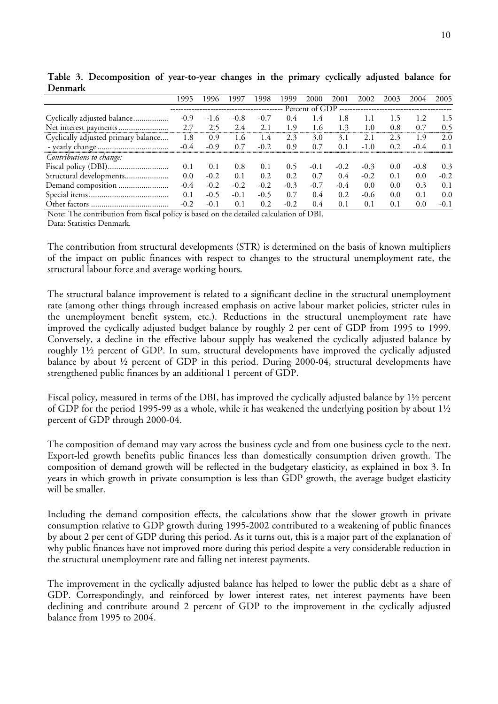|                                     | 995    | 1996   | 1997   | 1998   | 999    | 2000   | 2001   | 2002   | 2003 | 2004   | 2005   |  |  |
|-------------------------------------|--------|--------|--------|--------|--------|--------|--------|--------|------|--------|--------|--|--|
|                                     |        |        |        |        |        |        |        |        |      |        |        |  |  |
| Cyclically adjusted balance         | $-0.9$ | $-1.6$ | $-0.8$ | $-0.7$ | 0.4    | 1.4    | 1.8    |        | 1.5  |        | 1.5    |  |  |
|                                     | 2.7    | 2.5    | 2.4    | 2.1    | 1.9    | 1.6    | 1.3    | 1.0    | 0.8  | 0.7    | 0.5    |  |  |
| Cyclically adjusted primary balance | 1.8    | 0.9    | 1.6    | 1.4    | 2.3    | 3.0    | 3.1    | 2.1    | 2.3  | 1.9    | 2.0    |  |  |
|                                     | $-0.4$ | $-0.9$ | 0.7    | $-0.2$ | 0.9    | 0.7    | 0.1    |        | 0.2  | $-0.4$ | 0.1    |  |  |
| Contributions to change:            |        |        |        |        |        |        |        |        |      |        |        |  |  |
|                                     | 0.1    | 0.1    | 0.8    | 0.1    | 0.5    | $-0.1$ | $-0.2$ | $-0.3$ | 0.0  | $-0.8$ | 0.3    |  |  |
| Structural developments             | 0.0    | $-0.2$ | 0.1    | 0.2    | 0.2    | 0.7    | 0.4    | $-0.2$ | 0.1  | 0.0    | $-0.2$ |  |  |
| Demand composition                  | $-0.4$ | $-0.2$ | $-0.2$ | $-0.2$ | $-0.3$ | $-0.7$ | $-0.4$ | 0.0    | 0.0  | 0.3    | 0.1    |  |  |
|                                     | 0.1    | $-0.5$ | $-0.1$ | $-0.5$ | 0.7    | 0.4    | 0.2    | $-0.6$ | 0.0  | 0.1    | 0.0    |  |  |
|                                     | $-0.2$ | $-0.1$ | 0.1    | 0.2    | $-0.2$ | 0.4    | 0.1    | 0.1    | 0.1  | 0.0    | $-0.1$ |  |  |

**Table 3. Decomposition of year-to-year changes in the primary cyclically adjusted balance for Denmark**

Note: The contribution from fiscal policy is based on the detailed calculation of DBI. Data: Statistics Denmark.

The contribution from structural developments (STR) is determined on the basis of known multipliers of the impact on public finances with respect to changes to the structural unemployment rate, the structural labour force and average working hours.

The structural balance improvement is related to a significant decline in the structural unemployment rate (among other things through increased emphasis on active labour market policies, stricter rules in the unemployment benefit system, etc.). Reductions in the structural unemployment rate have improved the cyclically adjusted budget balance by roughly 2 per cent of GDP from 1995 to 1999. Conversely, a decline in the effective labour supply has weakened the cyclically adjusted balance by roughly 1½ percent of GDP. In sum, structural developments have improved the cyclically adjusted balance by about  $\frac{1}{2}$  percent of GDP in this period. During 2000-04, structural developments have strengthened public finances by an additional 1 percent of GDP.

Fiscal policy, measured in terms of the DBI, has improved the cyclically adjusted balance by 1½ percent of GDP for the period 1995-99 as a whole, while it has weakened the underlying position by about  $1\frac{1}{2}$ percent of GDP through 2000-04.

The composition of demand may vary across the business cycle and from one business cycle to the next. Export-led growth benefits public finances less than domestically consumption driven growth. The composition of demand growth will be reflected in the budgetary elasticity, as explained in box 3. In years in which growth in private consumption is less than GDP growth, the average budget elasticity will be smaller.

Including the demand composition effects, the calculations show that the slower growth in private consumption relative to GDP growth during 1995-2002 contributed to a weakening of public finances by about 2 per cent of GDP during this period. As it turns out, this is a major part of the explanation of why public finances have not improved more during this period despite a very considerable reduction in the structural unemployment rate and falling net interest payments.

The improvement in the cyclically adjusted balance has helped to lower the public debt as a share of GDP. Correspondingly, and reinforced by lower interest rates, net interest payments have been declining and contribute around 2 percent of GDP to the improvement in the cyclically adjusted balance from 1995 to 2004.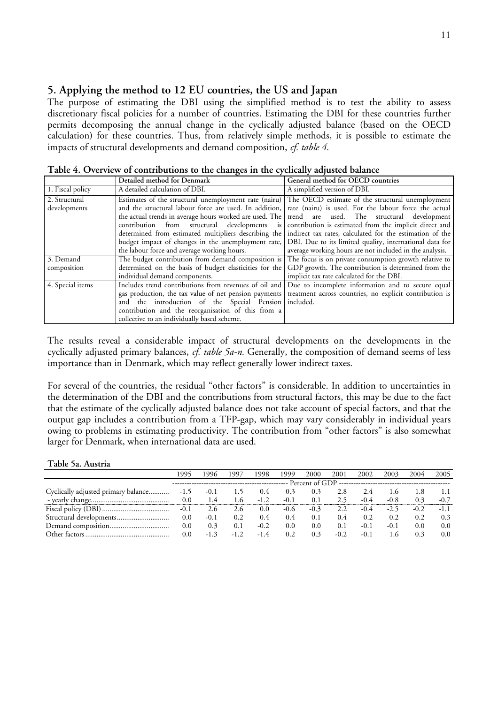## **5. Applying the method to 12 EU countries, the US and Japan**

The purpose of estimating the DBI using the simplified method is to test the ability to assess discretionary fiscal policies for a number of countries. Estimating the DBI for these countries further permits decomposing the annual change in the cyclically adjusted balance (based on the OECD calculation) for these countries. Thus, from relatively simple methods, it is possible to estimate the impacts of structural developments and demand composition, *cf. table 4.* 

**Detailed method for Denmark General method for OECD countries**  1. Fiscal policy A detailed calculation of DBI. A simplified version of DBI. 2. Structural developments Estimates of the structural unemployment rate (nairu) and the structural labour force are used. In addition, the actual trends in average hours worked are used. The contribution from structural developments is determined from estimated multipliers describing the budget impact of changes in the unemployment rate, the labour force and average working hours. The OECD estimate of the structural unemployment rate (nairu) is used. For the labour force the actual trend are used. The structural development contribution is estimated from the implicit direct and indirect tax rates, calculated for the estimation of the DBI. Due to its limited quality, international data for average working hours are not included in the analysis. 3. Demand composition The budget contribution from demand composition is determined on the basis of budget elasticities for the individual demand components. The focus is on private consumption growth relative to GDP growth. The contribution is determined from the implicit tax rate calculated for the DBI. 4. Special items Includes trend contributions from revenues of oil and gas production, the tax value of net pension payments and the introduction of the Special Pension contribution and the reorganisation of this from a collective to an individually based scheme. Due to incomplete information and to secure equal treatment across countries, no explicit contribution is included.

**Table 4. Overview of contributions to the changes in the cyclically adjusted balance** 

The results reveal a considerable impact of structural developments on the developments in the cyclically adjusted primary balances, *cf. table 5a-n.* Generally, the composition of demand seems of less importance than in Denmark, which may reflect generally lower indirect taxes.

For several of the countries, the residual "other factors" is considerable. In addition to uncertainties in the determination of the DBI and the contributions from structural factors, this may be due to the fact that the estimate of the cyclically adjusted balance does not take account of special factors, and that the output gap includes a contribution from a TFP-gap, which may vary considerably in individual years owing to problems in estimating productivity. The contribution from "other factors" is also somewhat larger for Denmark, when international data are used.

#### **Table 5a. Austria**

|                                     | 995    | 1996   | 1997   | 1998   | 1999   | 2000   | 2001   | 2002   | 2003   | 2004          | 2005          |  |  |
|-------------------------------------|--------|--------|--------|--------|--------|--------|--------|--------|--------|---------------|---------------|--|--|
|                                     |        |        |        |        |        |        |        |        |        |               |               |  |  |
| Cyclically adjusted primary balance | $-1.5$ | $-0.1$ | 1.5    | 0.4    | 0.3    | 0.3    | 2.8    |        | L.O    |               |               |  |  |
|                                     | 0.0    | 1.4    | i .6   | $-1.2$ | $-0.1$ | 0.1    | 2.5    | $-0.4$ | $-0.8$ | 03            | $-0.7$        |  |  |
|                                     | $-0.1$ | 2.6    | 2.6    | 0.0    | $-0.6$ | $-0.3$ | 2.2    | $-0.4$ | $-2.5$ | $-0.2$        | $-1.1$        |  |  |
|                                     | 0.0    | $-0.1$ | 0.2    | 0.4    | 0.4    | 0.1    | 0.4    | 0.2    | 0.2    | 0.2           | 0.3           |  |  |
|                                     | 0.0    | 0.3    | 0.1    | $-0.2$ | 0.0    | 0.0    | 0.1    | $-0.1$ | $-0.1$ | $0.0^{\circ}$ | $0.0^{\circ}$ |  |  |
|                                     | 0.0    | $-13$  | $-1.2$ | $-14$  | 0.2    | 0.3    | $-0.2$ | $-0.1$ | 1.6    | 03            | $0.0^{\circ}$ |  |  |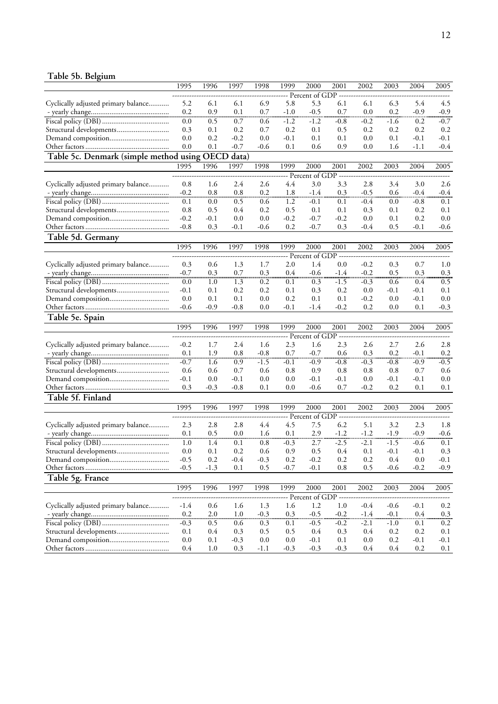## **Table 5b. Belgium**

|                                                   | 1995       | 1996       | 1997          | 1998          | 1999          | 2000                  | 2001          | 2002       | 2003       | 2004              | 2005          |
|---------------------------------------------------|------------|------------|---------------|---------------|---------------|-----------------------|---------------|------------|------------|-------------------|---------------|
|                                                   |            |            |               |               |               | Percent of GDP        |               |            |            |                   |               |
| Cyclically adjusted primary balance               | 5.2        | 6.1        | 6.1           | 6.9           | 5.8           | 5.3                   | 6.1           | 6.1        | 6.3        | 5.4               | 4.5           |
|                                                   | 0.2        | 0.9        | 0.1           | 0.7           | $-1.0$        | $-0.5$                | 0.7           | 0.0        | 0.2        | $-0.9$            | $-0.9$        |
|                                                   | 0.0        | 0.5        | 0.7           | 0.6           | $-1.2$        | $-1.2$                | $-0.8$        | $-0.2$     | $-1.6$     | 0.2               | $-0.7$        |
| Structural developments                           | 0.3        | 0.1        | 0.2           | 0.7           | 0.2           | 0.1                   | 0.5           | 0.2        | 0.2        | 0.2               | 0.2           |
|                                                   | 0.0        | 0.2        | $-0.2$        | 0.0           | $-0.1$        | 0.1                   | 0.1           | 0.0        | 0.1        | $-0.1$            | $-0.1$        |
|                                                   | 0.0        | 0.1        | $-0.7$        | $-0.6$        | 0.1           | 0.6                   | 0.9           | 0.0        | 1.6        | $-1.1$            | $-0.4$        |
|                                                   |            |            |               |               |               |                       |               |            |            |                   |               |
| Table 5c. Denmark (simple method using OECD data) |            |            |               |               |               |                       |               |            |            |                   |               |
|                                                   | 1995       | 1996       | 1997          | 1998          | 1999          | 2000                  | 2001          | 2002       | 2003       | 2004              | 2005          |
|                                                   |            |            |               |               |               | Percent of GDP        |               |            |            |                   |               |
| Cyclically adjusted primary balance               | 0.8        | 1.6        | 2.4           | 2.6           | 4.4           | 3.0                   | 3.3           | 2.8        | 3.4        | 3.0               | 2.6           |
|                                                   | $-0.2$     | 0.8        | 0.8           | 0.2           | 1.8           | $-1.4$                | 0.3           | $-0.5$     | 0.6        | $-0.4$            | $-0.4$        |
|                                                   | 0.1        | 0.0        | 0.5           | 0.6           | 1.2           | $-0.1$                | 0.1           | $-0.4$     | 0.0        | $-0.8$            | 0.1           |
| Structural developments                           | 0.8        | 0.5        | 0.4           | 0.2           | 0.5           | 0.1                   | 0.1           | 0.3        | 0.1        | 0.2               | 0.1           |
|                                                   | $-0.2$     | $-0.1$     | 0.0           | 0.0           | $-0.2$        | $-0.7$                | $-0.2$        | 0.0        | 0.1        | 0.2               | 0.0           |
|                                                   | $-0.8$     | 0.3        | $-0.1$        | $-0.6$        | 0.2           | $-0.7$                | 0.3           | $-0.4$     | 0.5        | $-0.1$            | -0.6          |
| Table 5d. Germany                                 |            |            |               |               |               |                       |               |            |            |                   |               |
|                                                   | 1995       | 1996       | 1997          | 1998          | 1999          | 2000                  | 2001          | 2002       | 2003       | 2004              | 2005          |
|                                                   |            |            |               |               |               | Percent of GDP        |               |            |            |                   |               |
| Cyclically adjusted primary balance               | 0.3        | 0.6        | 1.3           | 1.7           | 2.0           | 1.4                   | 0.0           | $-0.2$     | 0.3        | 0.7               | 1.0           |
|                                                   | $-0.7$     | 0.3        | 0.7           | 0.3           | 0.4           | $-0.6$                | $-1.4$        | $-0.2$     | 0.5        | 0.3               | 0.3           |
|                                                   | 0.0        | 1.0        | 1.3           | 0.2           | 0.1           | 0.3                   | $-1.5$        | $-0.3$     | 0.6        | 0.4               | 0.5           |
| Structural developments                           | $-0.1$     | 0.1        | 0.2           | 0.2           | 0.1           | 0.3                   | 0.2           | 0.0        | $-0.1$     | $-0.1$            | 0.1           |
|                                                   | 0.0        | 0.1        | 0.1           |               | 0.2           |                       | 0.1           | $-0.2$     | 0.0        | $-0.1$            | 0.0           |
|                                                   | $-0.6$     | $-0.9$     | $-0.8$        | 0.0<br>0.0    | $-0.1$        | 0.1<br>-1.4           | $-0.2$        | 0.2        | 0.0        | 0.1               | $-0.3$        |
|                                                   |            |            |               |               |               |                       |               |            |            |                   |               |
|                                                   |            |            |               |               |               |                       |               |            |            |                   |               |
| Table 5e. Spain                                   |            |            |               |               |               |                       |               |            |            |                   |               |
|                                                   | 1995       | 1996       | 1997          | 1998          | 1999          | 2000                  | 2001          | 2002       | 2003       | 2004              | 2005          |
|                                                   |            |            |               |               |               | Percent of GDP        |               |            |            |                   |               |
| Cyclically adjusted primary balance               | $-0.2$     | 1.7        | 2.4           | 1.6           | 2.3           | 1.6                   | 2.3           | 2.6        | 2.7        | 2.6               | 2.8           |
|                                                   | 0.1        | 1.9        | 0.8           | $-0.8$        | 0.7           | $-0.7$                | 0.6           | 0.3        | 0.2        | $-0.1$            | 0.2           |
|                                                   | $-0.7$     | 1.6        | 0.9           | $-1.5$        | $-0.1$        | $-0.9$                | $-0.8$        | $-0.3$     | $-0.8$     | $-0.9$            | $-0.5$        |
|                                                   | 0.6        | 0.6        | 0.7           | 0.6           | 0.8           | 0.9                   | 0.8           | 0.8        | 0.8        | 0.7               | 0.6           |
| Structural developments                           | $-0.1$     | 0.0        | $-0.1$        | 0.0           | 0.0           | $-0.1$                | $-0.1$        | 0.0        | $-0.1$     | $-0.1$            | 0.0           |
|                                                   | 0.3        | $-0.3$     | $-0.8$        | 0.1           | 0.0           | -0.6                  | 0.7           | $-0.2$     | 0.2        | 0.1               | 0.1           |
|                                                   |            |            |               |               |               |                       |               |            |            |                   |               |
| Table 5f. Finland                                 |            |            |               |               |               |                       |               |            |            |                   |               |
|                                                   | 1995       | 1996       | 1997          | 1998          | 1999          | 2000                  | 2001          | 2002       | 2003       | 2004              | 2005          |
|                                                   |            |            |               |               |               | Percent of GDP        |               |            |            |                   |               |
| Cyclically adjusted primary balance               | 2.3        | 2.8        | 2.8           | 4.4           | 4.5           | 7.5                   | 6.2           | 5.1        | 3.2        | 2.3               | 1.8           |
|                                                   | 0.1        | 0.5        | 0.0           | 1.6           | 0.1           | 2.9                   | $-1.2$        | $-1.2$     | $-1.9$     | $-0.9$            | $-0.6$        |
|                                                   | 1.0        | 1.4        | 0.1           | 0.8           | $-0.3$        | 2.7                   | $-2.5$        | $-2.1$     | $-1.5$     | $-0.6$            | 0.1           |
| Structural developments                           | 0.0        | 0.1        | 0.2           | 0.6           | 0.9           | 0.5                   | 0.4           | 0.1        | $-0.1$     | $-0.1$            | 0.3           |
|                                                   | $-0.5$     | 0.2        | $-0.4$        | $-0.3$        | 0.2           | $-0.2$                | 0.2           | 0.2        | 0.4        | 0.0               | -0.1          |
|                                                   | $-0.5$     | $-1.3$     | 0.1           | 0.5           | $-0.7$        | $-0.1$                | 0.8           | 0.5        | $-0.6$     | $-0.2$            | $-0.9$        |
| Table 5g. France                                  |            |            |               |               |               |                       |               |            |            |                   |               |
|                                                   | 1995       | 1996       | 1997          | 1998          | 1999          | 2000                  | 2001          | 2002       | 2003       | 2004              | 2005          |
|                                                   |            |            |               |               |               | Percent of GDP ------ |               |            |            |                   |               |
| Cyclically adjusted primary balance               | $-1.4$     | 0.6        | 1.6           | 1.3           | 1.6           | 1.2                   | 1.0           | $-0.4$     | $-0.6$     | $-0.1$            | 0.2           |
|                                                   | 0.2        | 2.0        | 1.0           | $-0.3$        | 0.3           | $-0.5$                | $-0.2$        | $-1.4$     | $-0.1$     | 0.4               |               |
|                                                   |            |            |               |               |               |                       |               |            |            |                   | 0.3           |
|                                                   | $-0.3$     | 0.5        | 0.6           | 0.3           | 0.1           | $-0.5$                | $-0.2$        | $-2.1$     | $-1.0$     | 0.1               | 0.2           |
| Structural developments                           | 0.1        | 0.4        | 0.3           | 0.5           | 0.5           | 0.4                   | 0.3           | 0.4        | 0.2        | 0.2               | $0.1\,$       |
|                                                   | 0.0<br>0.4 | 0.1<br>1.0 | $-0.3$<br>0.3 | 0.0<br>$-1.1$ | 0.0<br>$-0.3$ | $-0.1$<br>$-0.3$      | 0.1<br>$-0.3$ | 0.0<br>0.4 | 0.2<br>0.4 | $-0.1$<br>$0.2\,$ | $-0.1$<br>0.1 |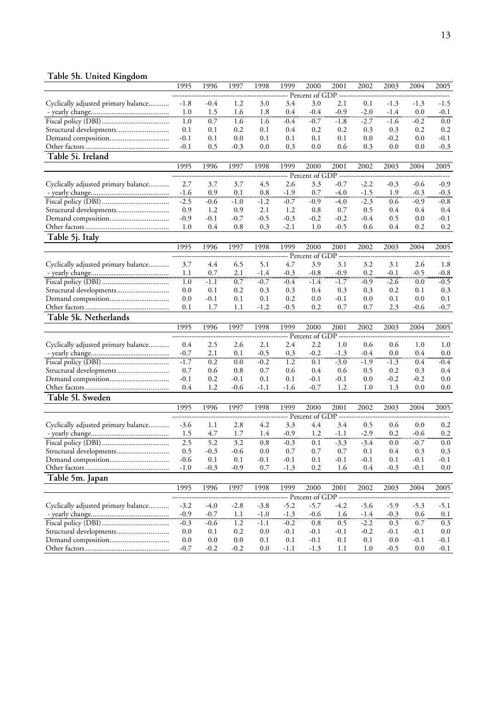## **Table 5h. United Kingdom**

|                                     | 1995       | 1996       | 1997       | 1998       | 1999          | 2000                    | 2001          | 2002          | 2003          | 2004             | 2005    |
|-------------------------------------|------------|------------|------------|------------|---------------|-------------------------|---------------|---------------|---------------|------------------|---------|
|                                     |            |            |            |            |               | Percent of GDP          |               |               |               |                  |         |
| Cyclically adjusted primary balance | $-1.8$     | $-0.4$     | 1.2        | 3.0        | 3.4           | 3.0                     | 2.1           | 0.1           | $-1.3$        | $-1.3$           | $-1.5$  |
|                                     | 1.0        | 1.5        | 1.6        | 1.8        | 0.4           | $-0.4$                  | $-0.9$        | $-2.0$        | $-1.4$        | 0.0              | $-0.1$  |
|                                     | 1.0        | 0.7        | 1.6        | 1.6        | -0.4          | $-0.7$                  | $-1.8$        | $-2.7$        | $-1.6$        | $-0.2$           | 0.0     |
| Structural developments             | 0.1        | 0.1        | 0.2        | 0.1        | 0.4           | 0.2                     | 0.2           | 0.3           | 0.3           | 0.2              | 0.2     |
|                                     | $-0.1$     | 0.1        | 0.0        | 0.1        | 0.1           | 0.1                     | 0.1           | 0.0           | $-0.2$        | 0.0              | $-0.1$  |
|                                     | $-0.1$     | 0.5        | $-0.3$     | 0.0        | 0.3           | 0.0                     | 0.6           | 0.3           | 0.0           | 0.0              | $-0.3$  |
| Table 5i. Ireland                   |            |            |            |            |               |                         |               |               |               |                  |         |
|                                     | 1995       | 1996       | 1997       | 1998       | 1999          | 2000                    | 2001          | 2002          | 2003          | 2004             | 2005    |
|                                     |            |            |            |            |               | Percent of GDP          |               |               |               |                  |         |
| Cyclically adjusted primary balance | 2.7        | 3.7        | 3.7        | 4.5        | 2.6           | 3.3                     | $-0.7$        | $-2.2$        | $-0.3$        | $-0.6$           | $-0.9$  |
|                                     | $-1.6$     | 0.9        | 0.1        | 0.8        | $-1.9$        | 0.7                     | $-4.0$        | $-1.5$        | 1.9           | $-0.3$           | $-0.3$  |
|                                     |            |            |            |            |               |                         |               |               |               |                  |         |
|                                     | $-2.5$     | $-0.6$     | $-1.0$     | $-1.2$     | $-0.7$        | $-0.9$                  | -4.0          | $-2.3$        | 0.6           | $-0.9$           | $-0.8$  |
| Structural developments             | 0.9        | 1.2        | 0.9        | 2.1        | 1.2           | 0.8                     | 0.7           | 0.5           | 0.4           | 0.4              | 0.4     |
|                                     | $-0.9$     | $-0.1$     | $-0.7$     | $-0.5$     | $-0.3$        | $-0.2$                  | $-0.2$        | $-0.4$        | 0.5           | 0.0              | $-0.1$  |
|                                     | 1.0        | 0.4        | 0.8        | 0.3        | $-2.1$        | 1.0                     | $-0.5$        | 0.6           | 0.4           | 0.2              | 0.2     |
| Table 5j. Italy                     |            |            |            |            |               |                         |               |               |               |                  |         |
|                                     | 1995       | 1996       | 1997       | 1998       | 1999          | 2000                    | 2001          | 2002          | 2003          | 2004             | 2005    |
|                                     |            |            |            |            |               | Percent of GDP          |               |               |               |                  |         |
| Cyclically adjusted primary balance | 3.7        | 4.4        | 6.5        | 5.1        | 4.7           | 3.9                     | 3.1           | 3.2           | 3.1           | 2.6              | 1.8     |
|                                     | 1.1        | 0.7        | 2.1        | $-1.4$     | $-0.3$        | $-0.8$                  | $-0.9$        | 0.2           | $-0.1$        | $-0.5$           | $-0.8$  |
|                                     | 1.0        | $-1.1$     | 0.7        | $-0.7$     | $-0.4$        | -1.4                    | $-1.7$        | $-0.9$        | $-2.6$        | 0.0              | $-0.5$  |
| Structural developments             | 0.0        | 0.1        | 0.2        | 0.3        | 0.3           | 0.4                     | 0.3           | 0.3           | 0.2           | 0.1              | 0.3     |
|                                     | 0.0        | $-0.1$     | 0.1        | 0.1        | 0.2           | 0.0                     | $-0.1$        | 0.0           | 0.1           | 0.0              | 0.1     |
|                                     | 0.1        | 1.7        | 1.1        | $-1.2$     | $-0.5$        | 0.2                     | 0.7           | 0.7           | 2.3           | $-0.6$           | $-0.7$  |
| Table 5k. Netherlands               |            |            |            |            |               |                         |               |               |               |                  |         |
|                                     | 1995       | 1996       | 1997       | 1998       | 1999          | 2000                    | 2001          | 2002          | 2003          | 2004             | 2005    |
|                                     |            |            |            |            |               | Percent of GDP          |               |               |               |                  |         |
| Cyclically adjusted primary balance | 0.4        | 2.5        | 2.6        | 2.1        | 2.4           | 2.2                     | 1.0           | 0.6           | 0.6           | 1.0              | 1.0     |
|                                     | $-0.7$     | 2.1        | 0.1        | $-0.5$     | 0.3           | $-0.2$                  | $-1.3$        | $-0.4$        | 0.0           | 0.4              | 0.0     |
|                                     | $-1.7$     | 0.2        | 0.0        | $-0.2$     | 1.2           | 0.1                     | $-3.0$        | -1.9          | $-1.3$        | 0.4              | $-0.4$  |
| Structural developments             | 0.7        | 0.6        | 0.8        | 0.7        | 0.6           | 0.4                     | 0.6           | 0.5           | 0.2           | 0.3              | 0.4     |
|                                     | $-0.1$     | 0.2        | $-0.1$     | 0.1        | 0.1           | $-0.1$                  | $-0.1$        | 0.0           | $-0.2$        | $-0.2$           | 0.0     |
|                                     | 0.4        | 1.2        | $-0.6$     | $-1.1$     | $-1.6$        | $-0.7$                  | 1.2           | 1.0           | 1.3           | 0.0              | 0.0     |
|                                     |            |            |            |            |               |                         |               |               |               |                  |         |
| Table 51. Sweden                    |            |            |            |            |               |                         |               |               |               |                  |         |
|                                     | 1995       | 1996       | 1997       | 1998       | 1999          | 2000                    | 2001          | 2002          | 2003          | 2004             | 2005    |
|                                     |            |            |            |            |               | Percent of GDP          |               |               |               |                  |         |
| Cyclically adjusted primary balance | $-3.6$     | 1.1        | 2.8        | 4.2        | 3.3           | 4.4                     | 3.4           | 0.5           | 0.6           | 0.0              | 0.2     |
|                                     | 1.5        | 4.7        | 1.7        | 1.4        | $-0.9$        | 1.2                     | -1.1          | $-2.9$        | 0.2           | $-0.6$           | 0.2     |
|                                     | 2.5        | 5.2        | 3.2        | 0.8        | $-0.3$        | 0.1                     | $-3.3$        | $-3.4$        | 0.0           | $-0.7$           | 0.0     |
| Structural developments             | 0.5        | $-0.3$     | $-0.6$     | 0.0        | 0.7           | 0.7                     | 0.7           | 0.1           | 0.4           | 0.3              | 0.3     |
|                                     | $-0.6$     | 0.1        | 0.1        | $-0.1$     | $-0.1$        | 0.1                     | $-0.1$        | $-0.1$        | 0.1           | $-0.1$           | $-0.1$  |
|                                     | $-1.0$     | $-0.3$     | $-0.9$     | 0.7        | $-1.3$        | 0.2                     | 1.6           | 0.4           | $-0.3$        | $-0.1$           | $0.0\,$ |
| Table 5m. Japan                     |            |            |            |            |               |                         |               |               |               |                  |         |
|                                     | 1995       | 1996       | 1997       | 1998       | 1999          | 2000                    | 2001          | 2002          | 2003          | 2004             | 2005    |
|                                     |            |            |            |            |               | -- Percent of GDP ----- |               |               |               |                  |         |
| Cyclically adjusted primary balance | $-3.2$     | $-4.0$     | $-2.8$     | $-3.8$     | $-5.2$        | $-5.7$                  | $-4.2$        | $-5.6$        | $-5.9$        | $-5.3$           | $-5.1$  |
|                                     | $-0.9$     | $-0.7$     | 1.1        | $-1.0$     | $-1.3$        | $-0.6$                  | 1.6           | $-1.4$        | $-0.3$        | 0.6              | $0.1\,$ |
|                                     | $-0.3$     | $-0.6$     | 1.2        | $-1.1$     | $-0.2$        | 0.8                     | 0.5           | $-2.2$        | 0.3           | 0.7              | $0.3\,$ |
|                                     |            |            |            |            |               |                         |               |               |               |                  | $0.0\,$ |
|                                     |            |            |            |            |               |                         |               |               |               |                  |         |
| Structural developments             | 0.0<br>0.0 | 0.1<br>0.0 | 0.2<br>0.0 | 0.0<br>0.1 | $-0.1$<br>0.1 | $-0.1$<br>$-0.1$        | $-0.1$<br>0.1 | $-0.2$<br>0.1 | $-0.1$<br>0.0 | $-0.1$<br>$-0.1$ | $-0.1$  |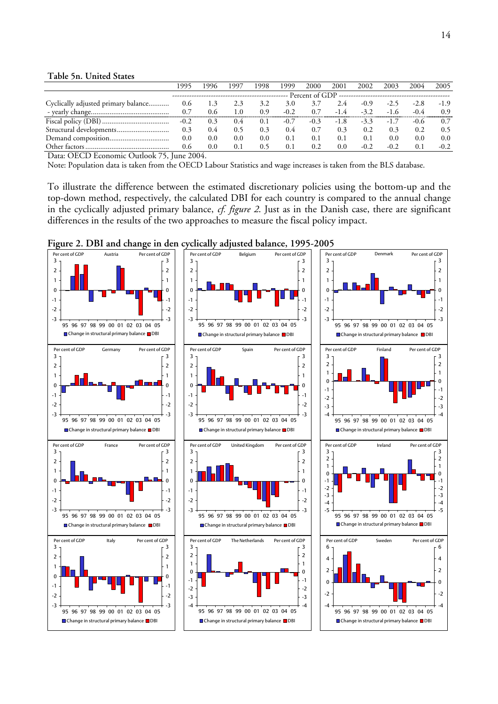#### **Table 5n. United States**

|                                     |        | 996           | -997 | 1998 | 999    | 2000                                    | 2001   | 2002   | 2003   | 2004          | 2005   |
|-------------------------------------|--------|---------------|------|------|--------|-----------------------------------------|--------|--------|--------|---------------|--------|
|                                     |        |               |      |      |        | Percent of GDP ------------------------ |        |        |        |               |        |
| Cyclically adjusted primary balance | 0.6    | 1.3           | 2.3  | 3.2  | 3.0    | 3.7                                     | 2.4    | $-0.9$ |        | $-2.8$        | $-1.9$ |
|                                     | 0.7    | 0.6           | 1.0  | 0.9  | $-0.2$ | 0.7                                     | $-1.4$ | $-3.2$ | $-1.6$ | $-0.4$        | 0.9    |
|                                     | $-0.2$ | 0.3           | 0.4  | 0.1  | $-0.7$ | $-0.3$                                  | $-1.8$ | $-3.3$ | $-1.7$ | $-0.6$        | 0.7    |
|                                     | 0.3    | $0.4^{\circ}$ | 0.5  | 0.3  | 0.4    | 0.7                                     | 0.3    | 0.2    | 0.3    | 0.2           | 0.5    |
|                                     | 0.0    | 0.0           | 0.0  | 0.0  | 0.1    | 0.1                                     | 0.1    | 0.1    | 0.0    | $0.0^{\circ}$ | 0.0    |
|                                     | 0.6    | 0.0           | 0.1  | 0.5  | 0.1    | 0.2                                     | 0.0    |        | $-0.2$ | $0^{\circ}$   | $-0.2$ |

Data: OECD Economic Outlook 75, June 2004.

Note: Population data is taken from the OECD Labour Statistics and wage increases is taken from the BLS database.

To illustrate the difference between the estimated discretionary policies using the bottom-up and the top-down method, respectively, the calculated DBI for each country is compared to the annual change in the cyclically adjusted primary balance, *cf. figure 2*. Just as in the Danish case, there are significant differences in the results of the two approaches to measure the fiscal policy impact.



**Figure 2. DBI and change in den cyclically adjusted balance, 1995-2005**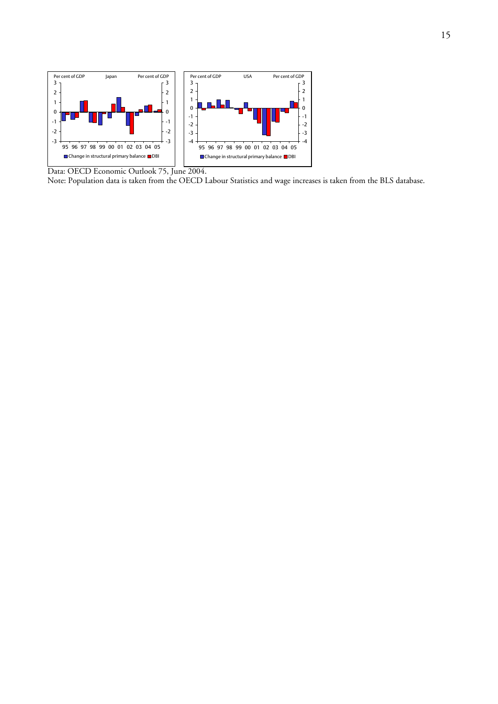

Data: OECD Economic Outlook 75, June 2004.

Note: Population data is taken from the OECD Labour Statistics and wage increases is taken from the BLS database.